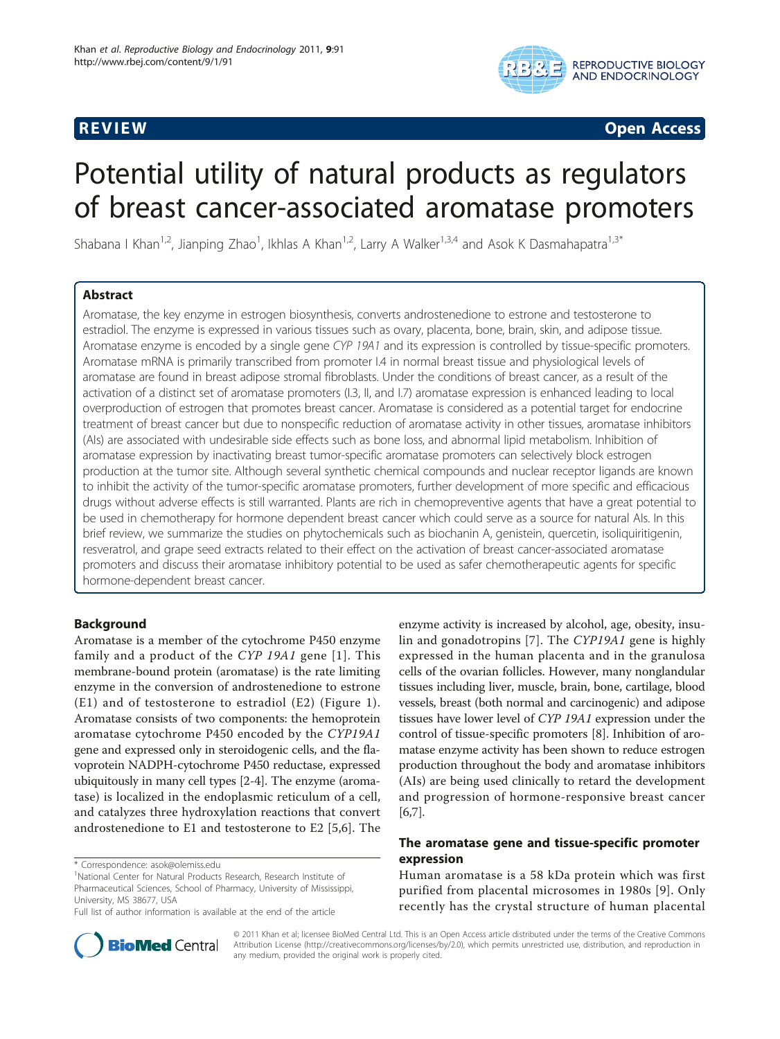

**REVIEW CONSTRUCTION CONSTRUCTION CONSTRUCTS** 

# Potential utility of natural products as regulators of breast cancer-associated aromatase promoters

Shabana I Khan<sup>1,2</sup>, Jianping Zhao<sup>1</sup>, Ikhlas A Khan<sup>1,2</sup>, Larry A Walker<sup>1,3,4</sup> and Asok K Dasmahapatra<sup>1,3\*</sup>

# Abstract

Aromatase, the key enzyme in estrogen biosynthesis, converts androstenedione to estrone and testosterone to estradiol. The enzyme is expressed in various tissues such as ovary, placenta, bone, brain, skin, and adipose tissue. Aromatase enzyme is encoded by a single gene CYP 19A1 and its expression is controlled by tissue-specific promoters. Aromatase mRNA is primarily transcribed from promoter I.4 in normal breast tissue and physiological levels of aromatase are found in breast adipose stromal fibroblasts. Under the conditions of breast cancer, as a result of the activation of a distinct set of aromatase promoters (I.3, II, and I.7) aromatase expression is enhanced leading to local overproduction of estrogen that promotes breast cancer. Aromatase is considered as a potential target for endocrine treatment of breast cancer but due to nonspecific reduction of aromatase activity in other tissues, aromatase inhibitors (AIs) are associated with undesirable side effects such as bone loss, and abnormal lipid metabolism. Inhibition of aromatase expression by inactivating breast tumor-specific aromatase promoters can selectively block estrogen production at the tumor site. Although several synthetic chemical compounds and nuclear receptor ligands are known to inhibit the activity of the tumor-specific aromatase promoters, further development of more specific and efficacious drugs without adverse effects is still warranted. Plants are rich in chemopreventive agents that have a great potential to be used in chemotherapy for hormone dependent breast cancer which could serve as a source for natural AIs. In this brief review, we summarize the studies on phytochemicals such as biochanin A, genistein, quercetin, isoliquiritigenin, resveratrol, and grape seed extracts related to their effect on the activation of breast cancer-associated aromatase promoters and discuss their aromatase inhibitory potential to be used as safer chemotherapeutic agents for specific hormone-dependent breast cancer.

# Background

Aromatase is a member of the cytochrome P450 enzyme family and a product of the CYP 19A1 gene [[1](#page-6-0)]. This membrane-bound protein (aromatase) is the rate limiting enzyme in the conversion of androstenedione to estrone (E1) and of testosterone to estradiol (E2) (Figure [1\)](#page-1-0). Aromatase consists of two components: the hemoprotein aromatase cytochrome P450 encoded by the CYP19A1 gene and expressed only in steroidogenic cells, and the flavoprotein NADPH-cytochrome P450 reductase, expressed ubiquitously in many cell types [\[2-4](#page-6-0)]. The enzyme (aromatase) is localized in the endoplasmic reticulum of a cell, and catalyzes three hydroxylation reactions that convert androstenedione to E1 and testosterone to E2 [\[5](#page-6-0),[6\]](#page-6-0). The



# The aromatase gene and tissue-specific promoter expression

Human aromatase is a 58 kDa protein which was first purified from placental microsomes in 1980s [[9](#page-6-0)]. Only recently has the crystal structure of human placental



© 2011 Khan et al; licensee BioMed Central Ltd. This is an Open Access article distributed under the terms of the Creative Commons Attribution License [\(http://creativecommons.org/licenses/by/2.0](http://creativecommons.org/licenses/by/2.0)), which permits unrestricted use, distribution, and reproduction in any medium, provided the original work is properly cited.

<sup>\*</sup> Correspondence: [asok@olemiss.edu](mailto:asok@olemiss.edu)

<sup>&</sup>lt;sup>1</sup>National Center for Natural Products Research, Research Institute of Pharmaceutical Sciences, School of Pharmacy, University of Mississippi, University, MS 38677, USA

Full list of author information is available at the end of the article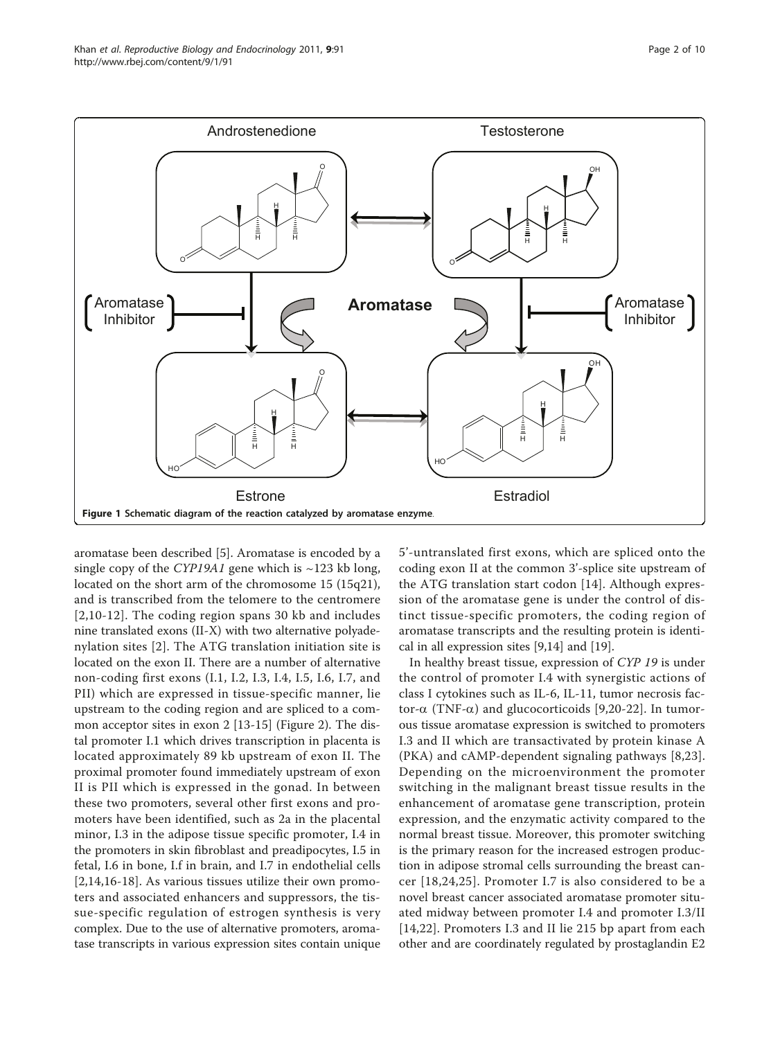<span id="page-1-0"></span>

aromatase been described [[5\]](#page-6-0). Aromatase is encoded by a single copy of the CYP19A1 gene which is  $\sim$ 123 kb long, located on the short arm of the chromosome 15 (15q21), and is transcribed from the telomere to the centromere [[2](#page-6-0),[10-12](#page-6-0)]. The coding region spans 30 kb and includes nine translated exons (II-X) with two alternative polyadenylation sites [[2\]](#page-6-0). The ATG translation initiation site is located on the exon II. There are a number of alternative non-coding first exons (I.1, I.2, I.3, I.4, I.5, I.6, I.7, and PII) which are expressed in tissue-specific manner, lie upstream to the coding region and are spliced to a common acceptor sites in exon 2 [\[13](#page-6-0)-[15\]](#page-6-0) (Figure [2\)](#page-2-0). The distal promoter I.1 which drives transcription in placenta is located approximately 89 kb upstream of exon II. The proximal promoter found immediately upstream of exon II is PII which is expressed in the gonad. In between these two promoters, several other first exons and promoters have been identified, such as 2a in the placental minor, I.3 in the adipose tissue specific promoter, I.4 in the promoters in skin fibroblast and preadipocytes, I.5 in fetal, I.6 in bone, I.f in brain, and I.7 in endothelial cells [[2,14,16](#page-6-0)-[18](#page-6-0)]. As various tissues utilize their own promoters and associated enhancers and suppressors, the tissue-specific regulation of estrogen synthesis is very complex. Due to the use of alternative promoters, aromatase transcripts in various expression sites contain unique

5'-untranslated first exons, which are spliced onto the coding exon II at the common 3'-splice site upstream of the ATG translation start codon [[14\]](#page-6-0). Although expression of the aromatase gene is under the control of distinct tissue-specific promoters, the coding region of aromatase transcripts and the resulting protein is identical in all expression sites [[9,14\]](#page-6-0) and [\[19\]](#page-6-0).

In healthy breast tissue, expression of CYP 19 is under the control of promoter I.4 with synergistic actions of class I cytokines such as IL-6, IL-11, tumor necrosis factor- $\alpha$  (TNF- $\alpha$ ) and glucocorticoids [\[9](#page-6-0),[20-](#page-6-0)[22\]](#page-7-0). In tumorous tissue aromatase expression is switched to promoters I.3 and II which are transactivated by protein kinase A (PKA) and cAMP-dependent signaling pathways [[8,](#page-6-0)[23](#page-7-0)]. Depending on the microenvironment the promoter switching in the malignant breast tissue results in the enhancement of aromatase gene transcription, protein expression, and the enzymatic activity compared to the normal breast tissue. Moreover, this promoter switching is the primary reason for the increased estrogen production in adipose stromal cells surrounding the breast cancer [[18](#page-6-0),[24,25\]](#page-7-0). Promoter I.7 is also considered to be a novel breast cancer associated aromatase promoter situated midway between promoter I.4 and promoter I.3/II [[14](#page-6-0)[,22](#page-7-0)]. Promoters I.3 and II lie 215 bp apart from each other and are coordinately regulated by prostaglandin E2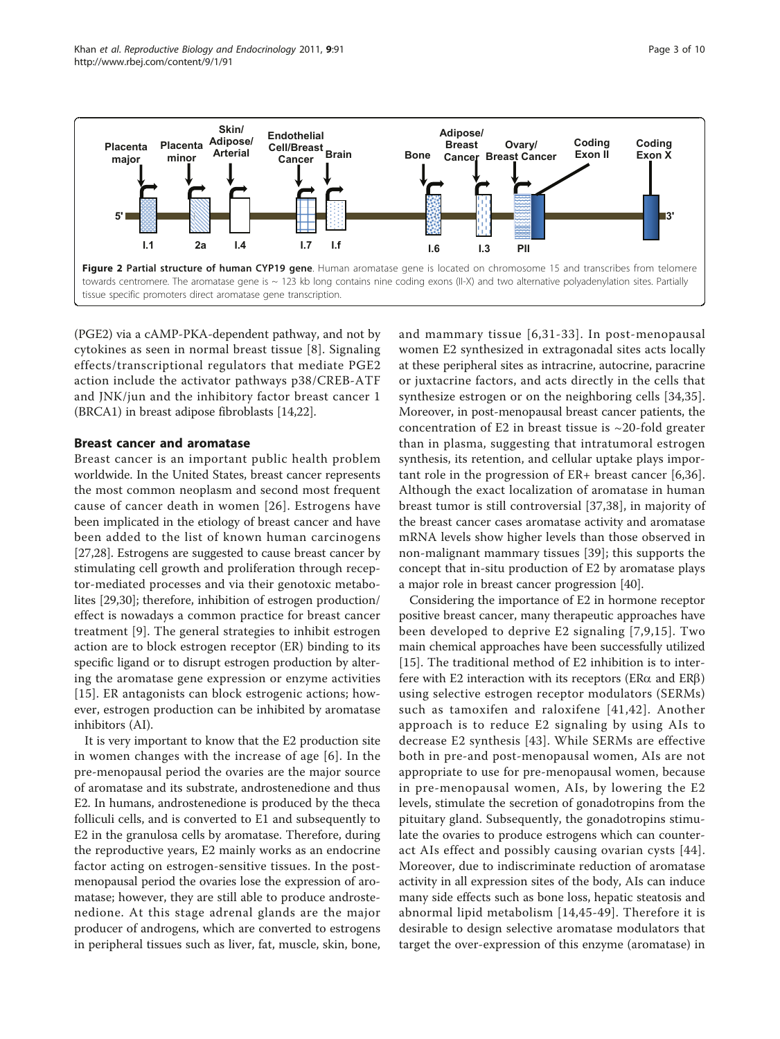<span id="page-2-0"></span>

(PGE2) via a cAMP-PKA-dependent pathway, and not by cytokines as seen in normal breast tissue [[8\]](#page-6-0). Signaling effects/transcriptional regulators that mediate PGE2 action include the activator pathways p38/CREB-ATF and JNK/jun and the inhibitory factor breast cancer 1 (BRCA1) in breast adipose fibroblasts [[14,](#page-6-0)[22](#page-7-0)].

## Breast cancer and aromatase

Breast cancer is an important public health problem worldwide. In the United States, breast cancer represents the most common neoplasm and second most frequent cause of cancer death in women [[26\]](#page-7-0). Estrogens have been implicated in the etiology of breast cancer and have been added to the list of known human carcinogens [[27,28\]](#page-7-0). Estrogens are suggested to cause breast cancer by stimulating cell growth and proliferation through receptor-mediated processes and via their genotoxic metabolites [\[29,30\]](#page-7-0); therefore, inhibition of estrogen production/ effect is nowadays a common practice for breast cancer treatment [[9](#page-6-0)]. The general strategies to inhibit estrogen action are to block estrogen receptor (ER) binding to its specific ligand or to disrupt estrogen production by altering the aromatase gene expression or enzyme activities [[15](#page-6-0)]. ER antagonists can block estrogenic actions; however, estrogen production can be inhibited by aromatase inhibitors (AI).

It is very important to know that the E2 production site in women changes with the increase of age [[6\]](#page-6-0). In the pre-menopausal period the ovaries are the major source of aromatase and its substrate, androstenedione and thus E2. In humans, androstenedione is produced by the theca folliculi cells, and is converted to E1 and subsequently to E2 in the granulosa cells by aromatase. Therefore, during the reproductive years, E2 mainly works as an endocrine factor acting on estrogen-sensitive tissues. In the postmenopausal period the ovaries lose the expression of aromatase; however, they are still able to produce androstenedione. At this stage adrenal glands are the major producer of androgens, which are converted to estrogens in peripheral tissues such as liver, fat, muscle, skin, bone, and mammary tissue [[6](#page-6-0),[31-33](#page-7-0)]. In post-menopausal women E2 synthesized in extragonadal sites acts locally at these peripheral sites as intracrine, autocrine, paracrine or juxtacrine factors, and acts directly in the cells that synthesize estrogen or on the neighboring cells [[34,35](#page-7-0)]. Moreover, in post-menopausal breast cancer patients, the concentration of E2 in breast tissue is  $\sim$ 20-fold greater than in plasma, suggesting that intratumoral estrogen synthesis, its retention, and cellular uptake plays important role in the progression of ER+ breast cancer [[6,](#page-6-0)[36](#page-7-0)]. Although the exact localization of aromatase in human breast tumor is still controversial [\[37,38\]](#page-7-0), in majority of the breast cancer cases aromatase activity and aromatase mRNA levels show higher levels than those observed in non-malignant mammary tissues [[39](#page-7-0)]; this supports the concept that in-situ production of E2 by aromatase plays a major role in breast cancer progression [[40\]](#page-7-0).

Considering the importance of E2 in hormone receptor positive breast cancer, many therapeutic approaches have been developed to deprive E2 signaling [[7](#page-6-0),[9](#page-6-0),[15](#page-6-0)]. Two main chemical approaches have been successfully utilized [[15\]](#page-6-0). The traditional method of E2 inhibition is to interfere with E2 interaction with its receptors ( $ER\alpha$  and  $ER\beta$ ) using selective estrogen receptor modulators (SERMs) such as tamoxifen and raloxifene [[41,42](#page-7-0)]. Another approach is to reduce E2 signaling by using AIs to decrease E2 synthesis [[43\]](#page-7-0). While SERMs are effective both in pre-and post-menopausal women, AIs are not appropriate to use for pre-menopausal women, because in pre-menopausal women, AIs, by lowering the E2 levels, stimulate the secretion of gonadotropins from the pituitary gland. Subsequently, the gonadotropins stimulate the ovaries to produce estrogens which can counteract AIs effect and possibly causing ovarian cysts [\[44\]](#page-7-0). Moreover, due to indiscriminate reduction of aromatase activity in all expression sites of the body, AIs can induce many side effects such as bone loss, hepatic steatosis and abnormal lipid metabolism [[14,](#page-6-0)[45-49\]](#page-7-0). Therefore it is desirable to design selective aromatase modulators that target the over-expression of this enzyme (aromatase) in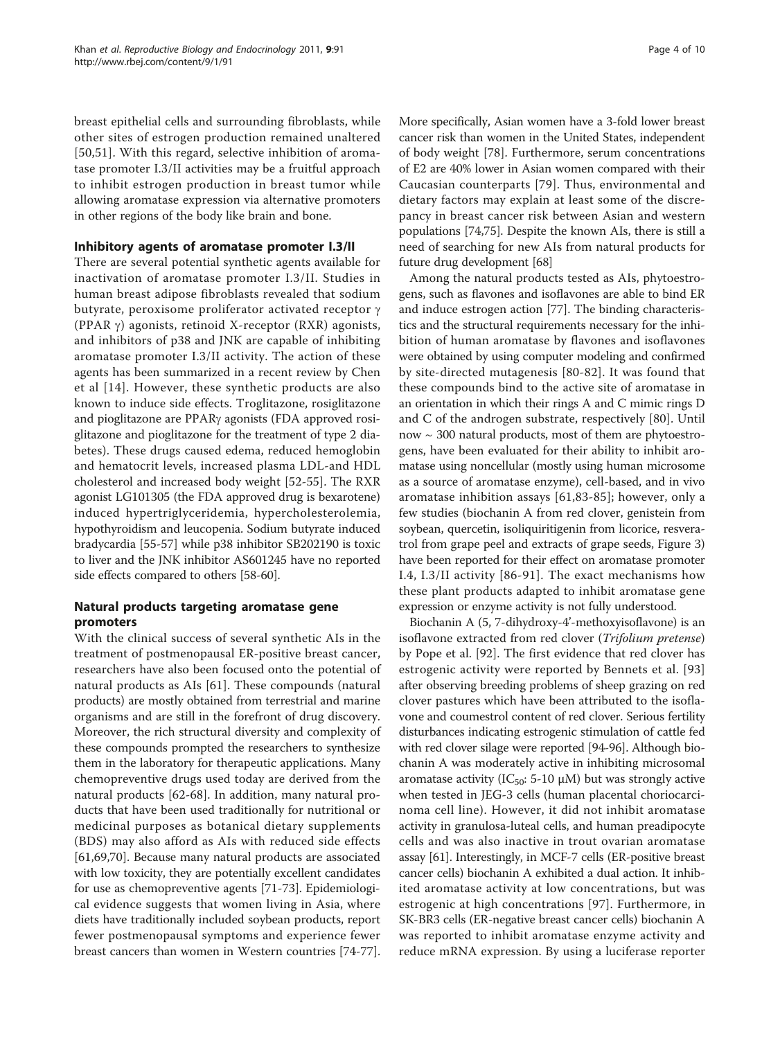breast epithelial cells and surrounding fibroblasts, while other sites of estrogen production remained unaltered [[50,51\]](#page-7-0). With this regard, selective inhibition of aromatase promoter I.3/II activities may be a fruitful approach to inhibit estrogen production in breast tumor while allowing aromatase expression via alternative promoters in other regions of the body like brain and bone.

# Inhibitory agents of aromatase promoter I.3/II

There are several potential synthetic agents available for inactivation of aromatase promoter I.3/II. Studies in human breast adipose fibroblasts revealed that sodium butyrate, peroxisome proliferator activated receptor  $\gamma$ (PPAR  $\gamma$ ) agonists, retinoid X-receptor (RXR) agonists, and inhibitors of p38 and JNK are capable of inhibiting aromatase promoter I.3/II activity. The action of these agents has been summarized in a recent review by Chen et al [\[14\]](#page-6-0). However, these synthetic products are also known to induce side effects. Troglitazone, rosiglitazone and pioglitazone are PPAR<sub>Y</sub> agonists (FDA approved rosiglitazone and pioglitazone for the treatment of type 2 diabetes). These drugs caused edema, reduced hemoglobin and hematocrit levels, increased plasma LDL-and HDL cholesterol and increased body weight [[52-55](#page-7-0)]. The RXR agonist LG101305 (the FDA approved drug is bexarotene) induced hypertriglyceridemia, hypercholesterolemia, hypothyroidism and leucopenia. Sodium butyrate induced bradycardia [[55-57\]](#page-7-0) while p38 inhibitor SB202190 is toxic to liver and the JNK inhibitor AS601245 have no reported side effects compared to others [\[58-60\]](#page-7-0).

# Natural products targeting aromatase gene promoters

With the clinical success of several synthetic AIs in the treatment of postmenopausal ER-positive breast cancer, researchers have also been focused onto the potential of natural products as AIs [\[61](#page-7-0)]. These compounds (natural products) are mostly obtained from terrestrial and marine organisms and are still in the forefront of drug discovery. Moreover, the rich structural diversity and complexity of these compounds prompted the researchers to synthesize them in the laboratory for therapeutic applications. Many chemopreventive drugs used today are derived from the natural products [[62-](#page-7-0)[68](#page-8-0)]. In addition, many natural products that have been used traditionally for nutritional or medicinal purposes as botanical dietary supplements (BDS) may also afford as AIs with reduced side effects [[61,](#page-7-0)[69,70\]](#page-8-0). Because many natural products are associated with low toxicity, they are potentially excellent candidates for use as chemopreventive agents [\[71](#page-8-0)-[73](#page-8-0)]. Epidemiological evidence suggests that women living in Asia, where diets have traditionally included soybean products, report fewer postmenopausal symptoms and experience fewer breast cancers than women in Western countries [\[74](#page-8-0)-[77](#page-8-0)]. More specifically, Asian women have a 3-fold lower breast cancer risk than women in the United States, independent of body weight [\[78](#page-8-0)]. Furthermore, serum concentrations of E2 are 40% lower in Asian women compared with their Caucasian counterparts [[79\]](#page-8-0). Thus, environmental and dietary factors may explain at least some of the discrepancy in breast cancer risk between Asian and western populations [[74](#page-8-0),[75](#page-8-0)]. Despite the known AIs, there is still a need of searching for new AIs from natural products for future drug development [[68](#page-8-0)]

Among the natural products tested as AIs, phytoestrogens, such as flavones and isoflavones are able to bind ER and induce estrogen action [[77](#page-8-0)]. The binding characteristics and the structural requirements necessary for the inhibition of human aromatase by flavones and isoflavones were obtained by using computer modeling and confirmed by site-directed mutagenesis [\[80-82\]](#page-8-0). It was found that these compounds bind to the active site of aromatase in an orientation in which their rings A and C mimic rings D and C of the androgen substrate, respectively [[80\]](#page-8-0). Until now ~ 300 natural products, most of them are phytoestrogens, have been evaluated for their ability to inhibit aromatase using noncellular (mostly using human microsome as a source of aromatase enzyme), cell-based, and in vivo aromatase inhibition assays [[61](#page-7-0),[83-85\]](#page-8-0); however, only a few studies (biochanin A from red clover, genistein from soybean, quercetin, isoliquiritigenin from licorice, resveratrol from grape peel and extracts of grape seeds, Figure [3](#page-4-0)) have been reported for their effect on aromatase promoter I.4, I.3/II activity [[86](#page-8-0)-[91](#page-8-0)]. The exact mechanisms how these plant products adapted to inhibit aromatase gene expression or enzyme activity is not fully understood.

Biochanin A (5, 7-dihydroxy-4'-methoxyisoflavone) is an isoflavone extracted from red clover (Trifolium pretense) by Pope et al. [[92](#page-8-0)]. The first evidence that red clover has estrogenic activity were reported by Bennets et al. [[93](#page-8-0)] after observing breeding problems of sheep grazing on red clover pastures which have been attributed to the isoflavone and coumestrol content of red clover. Serious fertility disturbances indicating estrogenic stimulation of cattle fed with red clover silage were reported [\[94-96\]](#page-8-0). Although biochanin A was moderately active in inhibiting microsomal aromatase activity (IC<sub>50</sub>: 5-10 μM) but was strongly active when tested in JEG-3 cells (human placental choriocarcinoma cell line). However, it did not inhibit aromatase activity in granulosa-luteal cells, and human preadipocyte cells and was also inactive in trout ovarian aromatase assay [[61](#page-7-0)]. Interestingly, in MCF-7 cells (ER-positive breast cancer cells) biochanin A exhibited a dual action. It inhibited aromatase activity at low concentrations, but was estrogenic at high concentrations [[97\]](#page-8-0). Furthermore, in SK-BR3 cells (ER-negative breast cancer cells) biochanin A was reported to inhibit aromatase enzyme activity and reduce mRNA expression. By using a luciferase reporter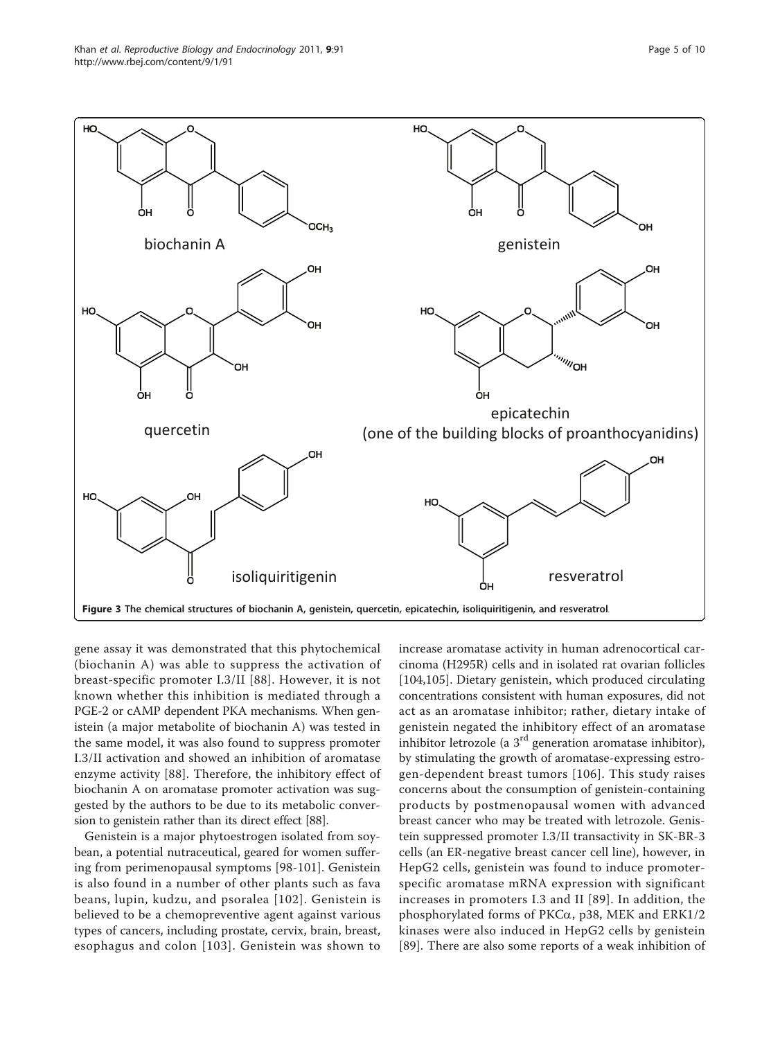<span id="page-4-0"></span>

gene assay it was demonstrated that this phytochemical (biochanin A) was able to suppress the activation of breast-specific promoter I.3/II [[88](#page-8-0)]. However, it is not known whether this inhibition is mediated through a PGE-2 or cAMP dependent PKA mechanisms. When genistein (a major metabolite of biochanin A) was tested in the same model, it was also found to suppress promoter I.3/II activation and showed an inhibition of aromatase enzyme activity [[88\]](#page-8-0). Therefore, the inhibitory effect of biochanin A on aromatase promoter activation was suggested by the authors to be due to its metabolic conversion to genistein rather than its direct effect [\[88](#page-8-0)].

Genistein is a major phytoestrogen isolated from soybean, a potential nutraceutical, geared for women suffering from perimenopausal symptoms [[98-101](#page-8-0)]. Genistein is also found in a number of other plants such as fava beans, lupin, kudzu, and psoralea [[102\]](#page-8-0). Genistein is believed to be a chemopreventive agent against various types of cancers, including prostate, cervix, brain, breast, esophagus and colon [[103\]](#page-8-0). Genistein was shown to increase aromatase activity in human adrenocortical carcinoma (H295R) cells and in isolated rat ovarian follicles [[104,105](#page-8-0)]. Dietary genistein, which produced circulating concentrations consistent with human exposures, did not act as an aromatase inhibitor; rather, dietary intake of genistein negated the inhibitory effect of an aromatase inhibitor letrozole (a  $3<sup>rd</sup>$  generation aromatase inhibitor), by stimulating the growth of aromatase-expressing estrogen-dependent breast tumors [\[106](#page-8-0)]. This study raises concerns about the consumption of genistein-containing products by postmenopausal women with advanced breast cancer who may be treated with letrozole. Genistein suppressed promoter I.3/II transactivity in SK-BR-3 cells (an ER-negative breast cancer cell line), however, in HepG2 cells, genistein was found to induce promoterspecific aromatase mRNA expression with significant increases in promoters I.3 and II [[89\]](#page-8-0). In addition, the phosphorylated forms of PKCa, p38, MEK and ERK1/2 kinases were also induced in HepG2 cells by genistein [[89\]](#page-8-0). There are also some reports of a weak inhibition of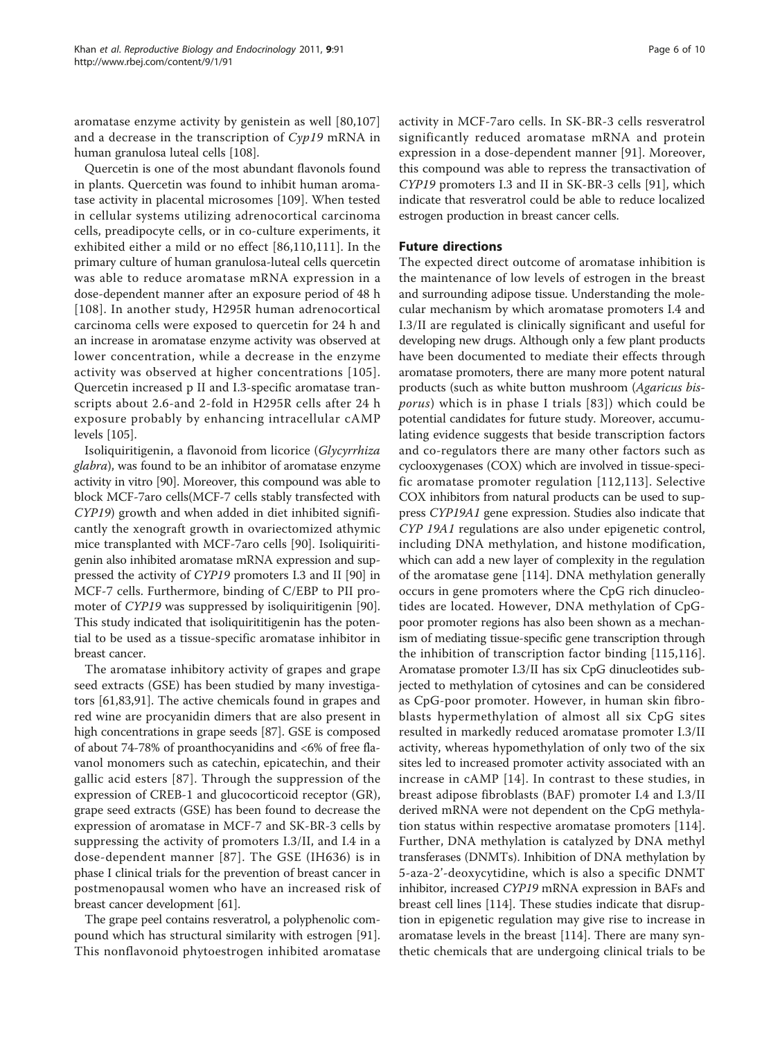aromatase enzyme activity by genistein as well [[80,107](#page-8-0)] and a decrease in the transcription of Cyp19 mRNA in human granulosa luteal cells [\[108\]](#page-8-0).

Quercetin is one of the most abundant flavonols found in plants. Quercetin was found to inhibit human aromatase activity in placental microsomes [[109\]](#page-8-0). When tested in cellular systems utilizing adrenocortical carcinoma cells, preadipocyte cells, or in co-culture experiments, it exhibited either a mild or no effect [\[86,110,111\]](#page-8-0). In the primary culture of human granulosa-luteal cells quercetin was able to reduce aromatase mRNA expression in a dose-dependent manner after an exposure period of 48 h [[108\]](#page-8-0). In another study, H295R human adrenocortical carcinoma cells were exposed to quercetin for 24 h and an increase in aromatase enzyme activity was observed at lower concentration, while a decrease in the enzyme activity was observed at higher concentrations [[105\]](#page-8-0). Quercetin increased p II and I.3-specific aromatase transcripts about 2.6-and 2-fold in H295R cells after 24 h exposure probably by enhancing intracellular cAMP levels [[105](#page-8-0)].

Isoliquiritigenin, a flavonoid from licorice (Glycyrrhiza glabra), was found to be an inhibitor of aromatase enzyme activity in vitro [\[90\]](#page-8-0). Moreover, this compound was able to block MCF-7aro cells(MCF-7 cells stably transfected with CYP19) growth and when added in diet inhibited significantly the xenograft growth in ovariectomized athymic mice transplanted with MCF-7aro cells [\[90](#page-8-0)]. Isoliquiritigenin also inhibited aromatase mRNA expression and suppressed the activity of CYP19 promoters I.3 and II [[90\]](#page-8-0) in MCF-7 cells. Furthermore, binding of C/EBP to PII promoter of CYP19 was suppressed by isoliquiritigenin [\[90](#page-8-0)]. This study indicated that isoliquirititigenin has the potential to be used as a tissue-specific aromatase inhibitor in breast cancer.

The aromatase inhibitory activity of grapes and grape seed extracts (GSE) has been studied by many investigators [[61](#page-7-0)[,83,91](#page-8-0)]. The active chemicals found in grapes and red wine are procyanidin dimers that are also present in high concentrations in grape seeds [\[87](#page-8-0)]. GSE is composed of about 74-78% of proanthocyanidins and <6% of free flavanol monomers such as catechin, epicatechin, and their gallic acid esters [[87\]](#page-8-0). Through the suppression of the expression of CREB-1 and glucocorticoid receptor (GR), grape seed extracts (GSE) has been found to decrease the expression of aromatase in MCF-7 and SK-BR-3 cells by suppressing the activity of promoters I.3/II, and I.4 in a dose-dependent manner [[87](#page-8-0)]. The GSE (IH636) is in phase I clinical trials for the prevention of breast cancer in postmenopausal women who have an increased risk of breast cancer development [\[61](#page-7-0)].

The grape peel contains resveratrol, a polyphenolic compound which has structural similarity with estrogen [\[91](#page-8-0)]. This nonflavonoid phytoestrogen inhibited aromatase activity in MCF-7aro cells. In SK-BR-3 cells resveratrol significantly reduced aromatase mRNA and protein expression in a dose-dependent manner [\[91](#page-8-0)]. Moreover, this compound was able to repress the transactivation of CYP19 promoters I.3 and II in SK-BR-3 cells [[91\]](#page-8-0), which indicate that resveratrol could be able to reduce localized estrogen production in breast cancer cells.

# Future directions

The expected direct outcome of aromatase inhibition is the maintenance of low levels of estrogen in the breast and surrounding adipose tissue. Understanding the molecular mechanism by which aromatase promoters I.4 and I.3/II are regulated is clinically significant and useful for developing new drugs. Although only a few plant products have been documented to mediate their effects through aromatase promoters, there are many more potent natural products (such as white button mushroom (Agaricus bisporus) which is in phase I trials [[83\]](#page-8-0)) which could be potential candidates for future study. Moreover, accumulating evidence suggests that beside transcription factors and co-regulators there are many other factors such as cyclooxygenases (COX) which are involved in tissue-specific aromatase promoter regulation [[112,113](#page-8-0)]. Selective COX inhibitors from natural products can be used to suppress CYP19A1 gene expression. Studies also indicate that CYP 19A1 regulations are also under epigenetic control, including DNA methylation, and histone modification, which can add a new layer of complexity in the regulation of the aromatase gene [[114\]](#page-9-0). DNA methylation generally occurs in gene promoters where the CpG rich dinucleotides are located. However, DNA methylation of CpGpoor promoter regions has also been shown as a mechanism of mediating tissue-specific gene transcription through the inhibition of transcription factor binding [\[115,116](#page-9-0)]. Aromatase promoter I.3/II has six CpG dinucleotides subjected to methylation of cytosines and can be considered as CpG-poor promoter. However, in human skin fibroblasts hypermethylation of almost all six CpG sites resulted in markedly reduced aromatase promoter I.3/II activity, whereas hypomethylation of only two of the six sites led to increased promoter activity associated with an increase in cAMP [[14](#page-6-0)]. In contrast to these studies, in breast adipose fibroblasts (BAF) promoter I.4 and I.3/II derived mRNA were not dependent on the CpG methylation status within respective aromatase promoters [\[114](#page-9-0)]. Further, DNA methylation is catalyzed by DNA methyl transferases (DNMTs). Inhibition of DNA methylation by 5-aza-2'-deoxycytidine, which is also a specific DNMT inhibitor, increased CYP19 mRNA expression in BAFs and breast cell lines [[114\]](#page-9-0). These studies indicate that disruption in epigenetic regulation may give rise to increase in aromatase levels in the breast [[114\]](#page-9-0). There are many synthetic chemicals that are undergoing clinical trials to be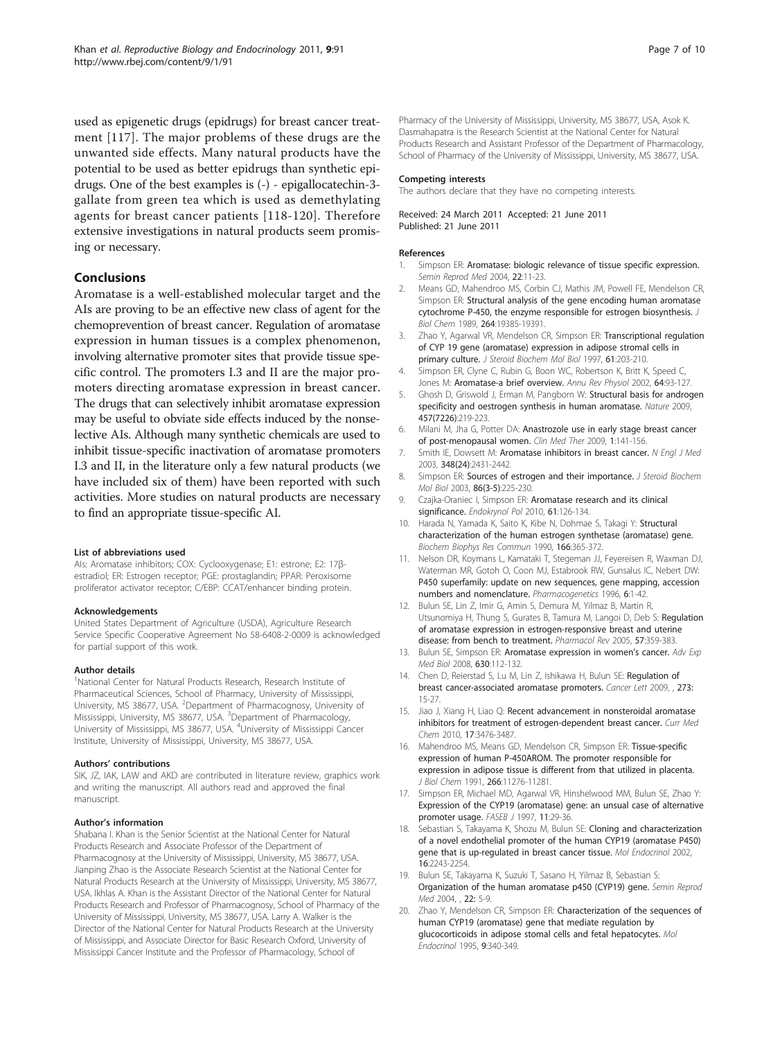<span id="page-6-0"></span>used as epigenetic drugs (epidrugs) for breast cancer treatment [[117](#page-9-0)]. The major problems of these drugs are the unwanted side effects. Many natural products have the potential to be used as better epidrugs than synthetic epidrugs. One of the best examples is (-) - epigallocatechin-3 gallate from green tea which is used as demethylating agents for breast cancer patients [[118-120](#page-9-0)]. Therefore extensive investigations in natural products seem promising or necessary.

# Conclusions

Aromatase is a well-established molecular target and the AIs are proving to be an effective new class of agent for the chemoprevention of breast cancer. Regulation of aromatase expression in human tissues is a complex phenomenon, involving alternative promoter sites that provide tissue specific control. The promoters I.3 and II are the major promoters directing aromatase expression in breast cancer. The drugs that can selectively inhibit aromatase expression may be useful to obviate side effects induced by the nonselective AIs. Although many synthetic chemicals are used to inhibit tissue-specific inactivation of aromatase promoters I.3 and II, in the literature only a few natural products (we have included six of them) have been reported with such activities. More studies on natural products are necessary to find an appropriate tissue-specific AI.

### List of abbreviations used

AIs: Aromatase inhibitors; COX: Cyclooxygenase; E1: estrone; E2: 17βestradiol; ER: Estrogen receptor; PGE: prostaglandin; PPAR: Peroxisome proliferator activator receptor; C/EBP: CCAT/enhancer binding protein.

#### Acknowledgements

United States Department of Agriculture (USDA), Agriculture Research Service Specific Cooperative Agreement No 58-6408-2-0009 is acknowledged for partial support of this work.

#### Author details

<sup>1</sup>National Center for Natural Products Research, Research Institute of Pharmaceutical Sciences, School of Pharmacy, University of Mississippi, University, MS 38677, USA. <sup>2</sup>Department of Pharmacognosy, University of Mississippi, University, MS 38677, USA. <sup>3</sup>Department of Pharmacology, University of Mississippi, MS 38677, USA. <sup>4</sup>University of Mississippi Cancer Institute, University of Mississippi, University, MS 38677, USA.

#### Authors' contributions

SIK, JZ, IAK, LAW and AKD are contributed in literature review, graphics work and writing the manuscript. All authors read and approved the final manuscript.

#### Author's information

Shabana I. Khan is the Senior Scientist at the National Center for Natural Products Research and Associate Professor of the Department of Pharmacognosy at the University of Mississippi, University, MS 38677, USA. Jianping Zhao is the Associate Research Scientist at the National Center for Natural Products Research at the University of Mississippi, University, MS 38677, USA. Ikhlas A. Khan is the Assistant Director of the National Center for Natural Products Research and Professor of Pharmacognosy, School of Pharmacy of the University of Mississippi, University, MS 38677, USA. Larry A. Walker is the Director of the National Center for Natural Products Research at the University of Mississippi, and Associate Director for Basic Research Oxford, University of Mississippi Cancer Institute and the Professor of Pharmacology, School of

Pharmacy of the University of Mississippi, University, MS 38677, USA, Asok K. Dasmahapatra is the Research Scientist at the National Center for Natural Products Research and Assistant Professor of the Department of Pharmacology, School of Pharmacy of the University of Mississippi, University, MS 38677, USA.

#### Competing interests

The authors declare that they have no competing interests.

Received: 24 March 2011 Accepted: 21 June 2011 Published: 21 June 2011

#### References

- 1. Simpson ER: [Aromatase: biologic relevance of tissue specific expression.](http://www.ncbi.nlm.nih.gov/pubmed/15083377?dopt=Abstract) Semin Reprod Med 2004, 22:11-23.
- 2. Means GD, Mahendroo MS, Corbin CJ, Mathis JM, Powell FE, Mendelson CR, Simpson ER: [Structural analysis of the gene encoding human aromatase](http://www.ncbi.nlm.nih.gov/pubmed/2808431?dopt=Abstract) [cytochrome P-450, the enzyme responsible for estrogen biosynthesis.](http://www.ncbi.nlm.nih.gov/pubmed/2808431?dopt=Abstract) J Biol Chem 1989, 264:19385-19391.
- 3. Zhao Y, Agarwal VR, Mendelson CR, Simpson ER: [Transcriptional regulation](http://www.ncbi.nlm.nih.gov/pubmed/9365191?dopt=Abstract) [of CYP 19 gene \(aromatase\) expression in adipose stromal cells in](http://www.ncbi.nlm.nih.gov/pubmed/9365191?dopt=Abstract) [primary culture.](http://www.ncbi.nlm.nih.gov/pubmed/9365191?dopt=Abstract) J Steroid Biochem Mol Biol 1997, 61:203-210.
- 4. Simpson ER, Clyne C, Rubin G, Boon WC, Robertson K, Britt K, Speed C, Jones M: [Aromatase-a brief overview.](http://www.ncbi.nlm.nih.gov/pubmed/11826265?dopt=Abstract) Annu Rev Physiol 2002, 64:93-127.
- 5. Ghosh D, Griswold J, Erman M, Pangborn W: [Structural basis for androgen](http://www.ncbi.nlm.nih.gov/pubmed/19129847?dopt=Abstract) [specificity and oestrogen synthesis in human aromatase.](http://www.ncbi.nlm.nih.gov/pubmed/19129847?dopt=Abstract) Nature 2009, 457(7226):219-223.
- 6. Milani M, Jha G, Potter DA: [Anastrozole use in early stage breast cancer](http://www.ncbi.nlm.nih.gov/pubmed/19794821?dopt=Abstract) [of post-menopausal women.](http://www.ncbi.nlm.nih.gov/pubmed/19794821?dopt=Abstract) Clin Med Ther 2009, 1:141-156.
- 7. Smith IE, Dowsett M: [Aromatase inhibitors in breast cancer.](http://www.ncbi.nlm.nih.gov/pubmed/12802030?dopt=Abstract) N Engl J Med 2003, 348(24):2431-2442.
- 8. Simpson ER: [Sources of estrogen and their importance.](http://www.ncbi.nlm.nih.gov/pubmed/14623515?dopt=Abstract) J Steroid Biochem Mol Biol 2003, 86(3-5):225-230.
- 9. Czajka-Oraniec I, Simpson ER: [Aromatase research and its clinical](http://www.ncbi.nlm.nih.gov/pubmed/20205115?dopt=Abstract) [significance.](http://www.ncbi.nlm.nih.gov/pubmed/20205115?dopt=Abstract) Endokrynol Pol 2010, 61:126-134.
- 10. Harada N, Yamada K, Saito K, Kibe N, Dohmae S, Takagi Y: [Structural](http://www.ncbi.nlm.nih.gov/pubmed/2302210?dopt=Abstract) [characterization of the human estrogen synthetase \(aromatase\) gene.](http://www.ncbi.nlm.nih.gov/pubmed/2302210?dopt=Abstract) Biochem Biophys Res Commun 1990, 166:365-372.
- 11. Nelson DR, Koymans L, Kamataki T, Stegeman JJ, Feyereisen R, Waxman DJ, Waterman MR, Gotoh O, Coon MJ, Estabrook RW, Gunsalus IC, Nebert DW: [P450 superfamily: update on new sequences, gene mapping, accession](http://www.ncbi.nlm.nih.gov/pubmed/8845856?dopt=Abstract) [numbers and nomenclature.](http://www.ncbi.nlm.nih.gov/pubmed/8845856?dopt=Abstract) Pharmacogenetics 1996, 6:1-42.
- 12. Bulun SE, Lin Z, Imir G, Amin S, Demura M, Yilmaz B, Martin R, Utsunomiya H, Thung S, Gurates B, Tamura M, Langoi D, Deb S: [Regulation](http://www.ncbi.nlm.nih.gov/pubmed/16109840?dopt=Abstract) [of aromatase expression in estrogen-responsive breast and uterine](http://www.ncbi.nlm.nih.gov/pubmed/16109840?dopt=Abstract) [disease: from bench to treatment.](http://www.ncbi.nlm.nih.gov/pubmed/16109840?dopt=Abstract) Pharmacol Rev 2005, 57:359-383.
- 13. Bulun SE, Simpson ER: [Aromatase expression in women](http://www.ncbi.nlm.nih.gov/pubmed/18637488?dopt=Abstract)'s cancer. Adv Exp Med Biol 2008, 630:112-132.
- 14. Chen D, Reierstad S, Lu M, Lin Z, Ishikawa H, Bulun SE: Regulation of breast cancer-associated aromatase promoters. Cancer Lett 2009, , 273: 15-27.
- 15. Jiao J, Xiang H, Liao Q: [Recent advancement in nonsteroidal aromatase](http://www.ncbi.nlm.nih.gov/pubmed/20738251?dopt=Abstract) [inhibitors for treatment of estrogen-dependent breast cancer.](http://www.ncbi.nlm.nih.gov/pubmed/20738251?dopt=Abstract) Curr Med Chem 2010, 17:3476-3487.
- 16. Mahendroo MS, Means GD, Mendelson CR, Simpson ER: [Tissue-specific](http://www.ncbi.nlm.nih.gov/pubmed/2040633?dopt=Abstract) [expression of human P-450AROM. The promoter responsible for](http://www.ncbi.nlm.nih.gov/pubmed/2040633?dopt=Abstract) [expression in adipose tissue is different from that utilized in placenta.](http://www.ncbi.nlm.nih.gov/pubmed/2040633?dopt=Abstract) J Biol Chem 1991, 266:11276-11281.
- 17. Simpson ER, Michael MD, Agarwal VR, Hinshelwood MM, Bulun SE, Zhao Y: [Expression of the CYP19 \(aromatase\) gene: an unsual case of alternative](http://www.ncbi.nlm.nih.gov/pubmed/9034163?dopt=Abstract) [promoter usage.](http://www.ncbi.nlm.nih.gov/pubmed/9034163?dopt=Abstract) FASEB J 1997, 11:29-36.
- 18. Sebastian S, Takayama K, Shozu M, Bulun SE: [Cloning and characterization](http://www.ncbi.nlm.nih.gov/pubmed/12351690?dopt=Abstract) [of a novel endothelial promoter of the human CYP19 \(aromatase P450\)](http://www.ncbi.nlm.nih.gov/pubmed/12351690?dopt=Abstract) [gene that is up-regulated in breast cancer tissue.](http://www.ncbi.nlm.nih.gov/pubmed/12351690?dopt=Abstract) Mol Endocrinol 2002, 16:2243-2254.
- 19. Bulun SE, Takayama K, Suzuki T, Sasano H, Yilmaz B, Sebastian S: Organization of the human aromatase p450 (CYP19) gene. Semin Reprod Med 2004, , 22: 5-9.
- 20. Zhao Y, Mendelson CR, Simpson ER: [Characterization of the sequences of](http://www.ncbi.nlm.nih.gov/pubmed/7776980?dopt=Abstract) [human CYP19 \(aromatase\) gene that mediate regulation by](http://www.ncbi.nlm.nih.gov/pubmed/7776980?dopt=Abstract) [glucocorticoids in adipose stomal cells and fetal hepatocytes.](http://www.ncbi.nlm.nih.gov/pubmed/7776980?dopt=Abstract) Mol Endocrinol 1995, 9:340-349.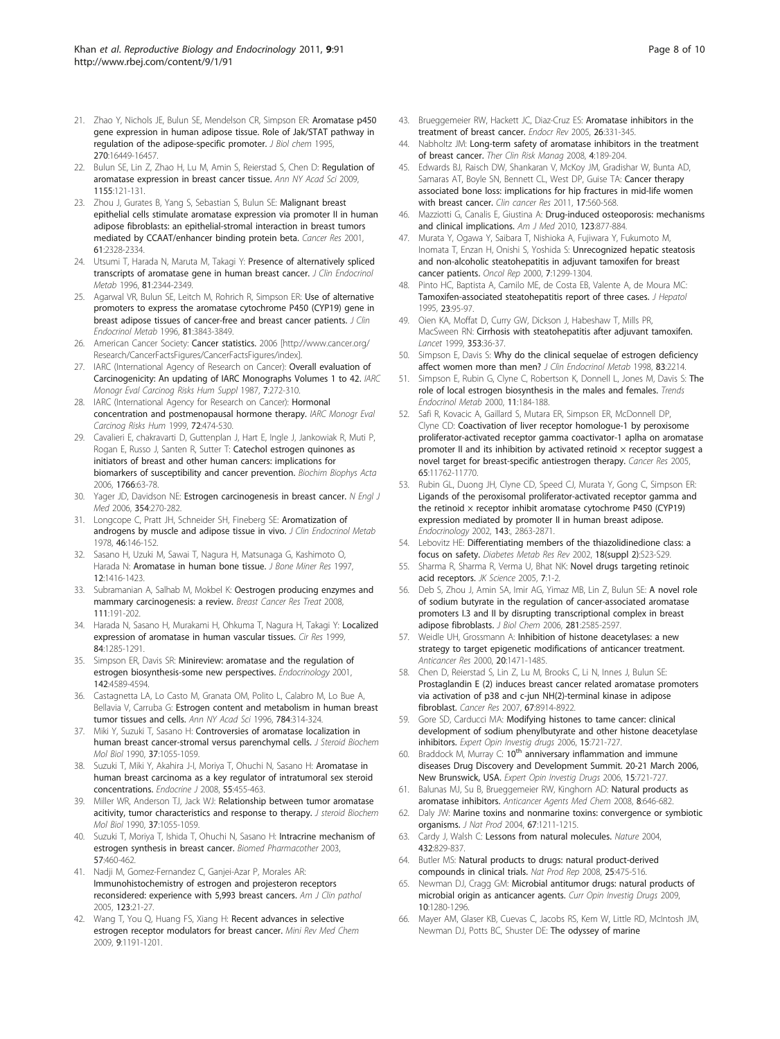- <span id="page-7-0"></span>21. Zhao Y, Nichols JE, Bulun SE, Mendelson CR, Simpson ER: [Aromatase p450](http://www.ncbi.nlm.nih.gov/pubmed/7608217?dopt=Abstract) [gene expression in human adipose tissue. Role of Jak/STAT pathway in](http://www.ncbi.nlm.nih.gov/pubmed/7608217?dopt=Abstract) [regulation of the adipose-specific promoter.](http://www.ncbi.nlm.nih.gov/pubmed/7608217?dopt=Abstract) J Biol chem 1995, 270:16449-16457.
- 22. Bulun SE, Lin Z, Zhao H, Lu M, Amin S, Reierstad S, Chen D: [Regulation of](http://www.ncbi.nlm.nih.gov/pubmed/19250199?dopt=Abstract) [aromatase expression in breast cancer tissue.](http://www.ncbi.nlm.nih.gov/pubmed/19250199?dopt=Abstract) Ann NY Acad Sci 2009, 1155:121-131.
- 23. Zhou J, Gurates B, Yang S, Sebastian S, Bulun SE: [Malignant breast](http://www.ncbi.nlm.nih.gov/pubmed/11280806?dopt=Abstract) [epithelial cells stimulate aromatase expression via promoter II in human](http://www.ncbi.nlm.nih.gov/pubmed/11280806?dopt=Abstract) [adipose fibroblasts: an epithelial-stromal interaction in breast tumors](http://www.ncbi.nlm.nih.gov/pubmed/11280806?dopt=Abstract) [mediated by CCAAT/enhancer binding protein beta.](http://www.ncbi.nlm.nih.gov/pubmed/11280806?dopt=Abstract) Cancer Res 2001, 61:2328-2334.
- 24. Utsumi T, Harada N, Maruta M, Takagi Y: [Presence of alternatively spliced](http://www.ncbi.nlm.nih.gov/pubmed/8964875?dopt=Abstract) [transcripts of aromatase gene in human breast cancer.](http://www.ncbi.nlm.nih.gov/pubmed/8964875?dopt=Abstract) J Clin Endocrinol Metab 1996, 81:2344-2349.
- 25. Agarwal VR, Bulun SE, Leitch M, Rohrich R, Simpson ER: [Use of alternative](http://www.ncbi.nlm.nih.gov/pubmed/8923826?dopt=Abstract) [promoters to express the aromatase cytochrome P450 \(CYP19\) gene in](http://www.ncbi.nlm.nih.gov/pubmed/8923826?dopt=Abstract) [breast adipose tissues of cancer-free and breast cancer patients.](http://www.ncbi.nlm.nih.gov/pubmed/8923826?dopt=Abstract) J Clin Endocrinol Metab 1996, 81:3843-3849.
- 26. American Cancer Society: Cancer statistics. 2006 [\[http://www.cancer.org/](http://www.cancer.org/Research/CancerFactsFigures/CancerFactsFigures/index) [Research/CancerFactsFigures/CancerFactsFigures/index\]](http://www.cancer.org/Research/CancerFactsFigures/CancerFactsFigures/index).
- 27. IARC (International Agency of Research on Cancer): Overall evaluation of Carcinogenicity: An updating of IARC Monographs Volumes 1 to 42. IARC Monogr Eval Carcinog Risks Hum Suppl 1987, 7:272-310.
- 28. IARC (International Agency for Research on Cancer): **Hormonal** concentration and postmenopausal hormone therapy. IARC Monogr Eval Carcinog Risks Hum 1999, 72:474-530.
- 29. Cavalieri E, chakravarti D, Guttenplan J, Hart E, Ingle J, Jankowiak R, Muti P, Rogan E, Russo J, Santen R, Sutter T: [Catechol estrogen quinones as](http://www.ncbi.nlm.nih.gov/pubmed/16675129?dopt=Abstract) [initiators of breast and other human cancers: implications for](http://www.ncbi.nlm.nih.gov/pubmed/16675129?dopt=Abstract) [biomarkers of susceptibility and cancer prevention.](http://www.ncbi.nlm.nih.gov/pubmed/16675129?dopt=Abstract) Biochim Biophys Acta 2006, 1766:63-78.
- 30. Yager JD, Davidson NE: [Estrogen carcinogenesis in breast cancer.](http://www.ncbi.nlm.nih.gov/pubmed/16421368?dopt=Abstract) N Engl J Med 2006, 354:270-282.
- 31. Longcope C, Pratt JH, Schneider SH, Fineberg SE: [Aromatization of](http://www.ncbi.nlm.nih.gov/pubmed/752017?dopt=Abstract) [androgens by muscle and adipose tissue in vivo.](http://www.ncbi.nlm.nih.gov/pubmed/752017?dopt=Abstract) J Clin Endocrinol Metab 1978, 46:146-152.
- 32. Sasano H, Uzuki M, Sawai T, Nagura H, Matsunaga G, Kashimoto O, Harada N: [Aromatase in human bone tissue.](http://www.ncbi.nlm.nih.gov/pubmed/9286757?dopt=Abstract) J Bone Miner Res 1997, 12:1416-1423.
- 33. Subramanian A, Salhab M, Mokbel K: [Oestrogen producing enzymes and](http://www.ncbi.nlm.nih.gov/pubmed/17934808?dopt=Abstract) [mammary carcinogenesis: a review.](http://www.ncbi.nlm.nih.gov/pubmed/17934808?dopt=Abstract) Breast Cancer Res Treat 2008, 111:191-202.
- 34. Harada N, Sasano H, Murakami H, Ohkuma T, Nagura H, Takagi Y: Localized expression of aromatase in human vascular tissues. Cir Res 1999, 84:1285-1291.
- 35. Simpson ER, Davis SR: [Minireview: aromatase and the regulation of](http://www.ncbi.nlm.nih.gov/pubmed/11606422?dopt=Abstract) [estrogen biosynthesis-some new perspectives.](http://www.ncbi.nlm.nih.gov/pubmed/11606422?dopt=Abstract) Endocrinology 2001, 142:4589-4594.
- 36. Castagnetta LA, Lo Casto M, Granata OM, Polito L, Calabro M, Lo Bue A, Bellavia V, Carruba G: [Estrogen content and metabolism in human breast](http://www.ncbi.nlm.nih.gov/pubmed/8651580?dopt=Abstract) [tumor tissues and cells.](http://www.ncbi.nlm.nih.gov/pubmed/8651580?dopt=Abstract) Ann NY Acad Sci 1996, 784:314-324.
- 37. Miki Y, Suzuki T, Sasano H: [Controversies of aromatase localization in](http://www.ncbi.nlm.nih.gov/pubmed/2285581?dopt=Abstract) [human breast cancer-stromal versus parenchymal cells.](http://www.ncbi.nlm.nih.gov/pubmed/2285581?dopt=Abstract) J Steroid Biochem Mol Biol 1990, 37:1055-1059.
- 38. Suzuki T, Miki Y, Akahira J-I, Moriya T, Ohuchi N, Sasano H: Aromatase in human breast carcinoma as a key regulator of intratumoral sex steroid concentrations. Endocrine J 2008, 55:455-463.
- 39. Miller WR, Anderson TJ, Jack WJ: [Relationship between tumor aromatase](http://www.ncbi.nlm.nih.gov/pubmed/2285581?dopt=Abstract) [acitivity, tumor characteristics and response to therapy.](http://www.ncbi.nlm.nih.gov/pubmed/2285581?dopt=Abstract) J steroid Biochem Mol Biol 1990, 37:1055-1059.
- 40. Suzuki T, Moriya T, Ishida T, Ohuchi N, Sasano H: [Intracrine mechanism of](http://www.ncbi.nlm.nih.gov/pubmed/14637389?dopt=Abstract) [estrogen synthesis in breast cancer.](http://www.ncbi.nlm.nih.gov/pubmed/14637389?dopt=Abstract) Biomed Pharmacother 2003, 57:460-462.
- 41. Nadji M, Gomez-Fernandez C, Ganjei-Azar P, Morales AR: [Immunohistochemistry of estrogen and projesteron receptors](http://www.ncbi.nlm.nih.gov/pubmed/15762276?dopt=Abstract) [reconsidered: experience with 5,993 breast cancers.](http://www.ncbi.nlm.nih.gov/pubmed/15762276?dopt=Abstract) Am J Clin pathol 2005, 123:21-27.
- 42. Wang T, You Q, Huang FS, Xiang H: [Recent advances in selective](http://www.ncbi.nlm.nih.gov/pubmed/19817711?dopt=Abstract) [estrogen receptor modulators for breast cancer.](http://www.ncbi.nlm.nih.gov/pubmed/19817711?dopt=Abstract) Mini Rev Med Chem 2009, 9:1191-1201.
- 43. Brueggemeier RW, Hackett JC, Diaz-Cruz ES: [Aromatase inhibitors in the](http://www.ncbi.nlm.nih.gov/pubmed/15814851?dopt=Abstract) [treatment of breast cancer.](http://www.ncbi.nlm.nih.gov/pubmed/15814851?dopt=Abstract) Endocr Rev 2005, 26:331-345.
- 44. Nabholtz JM: [Long-term safety of aromatase inhibitors in the treatment](http://www.ncbi.nlm.nih.gov/pubmed/18728707?dopt=Abstract) [of breast cancer.](http://www.ncbi.nlm.nih.gov/pubmed/18728707?dopt=Abstract) Ther Clin Risk Manag 2008, 4:189-204.
- 45. Edwards BJ, Raisch DW, Shankaran V, McKoy JM, Gradishar W, Bunta AD, Samaras AT, Boyle SN, Bennett CL, West DP, Guise TA: [Cancer therapy](http://www.ncbi.nlm.nih.gov/pubmed/21288927?dopt=Abstract) [associated bone loss: implications for hip fractures in mid-life women](http://www.ncbi.nlm.nih.gov/pubmed/21288927?dopt=Abstract) [with breast cancer.](http://www.ncbi.nlm.nih.gov/pubmed/21288927?dopt=Abstract) Clin cancer Res 2011, 17:560-568.
- 46. Mazziotti G, Canalis E, Giustina A: [Drug-induced osteoporosis: mechanisms](http://www.ncbi.nlm.nih.gov/pubmed/20920685?dopt=Abstract) [and clinical implications.](http://www.ncbi.nlm.nih.gov/pubmed/20920685?dopt=Abstract) Am J Med 2010, 123:877-884.
- 47. Murata Y, Ogawa Y, Saibara T, Nishioka A, Fujiwara Y, Fukumoto M, Inomata T, Enzan H, Onishi S, Yoshida S: [Unrecognized hepatic steatosis](http://www.ncbi.nlm.nih.gov/pubmed/11032933?dopt=Abstract) [and non-alcoholic steatohepatitis in adjuvant tamoxifen for breast](http://www.ncbi.nlm.nih.gov/pubmed/11032933?dopt=Abstract) [cancer patients.](http://www.ncbi.nlm.nih.gov/pubmed/11032933?dopt=Abstract) Oncol Rep 2000, 7:1299-1304.
- 48. Pinto HC, Baptista A, Camilo ME, de Costa EB, Valente A, de Moura MC: [Tamoxifen-associated steatohepatitis report of three cases.](http://www.ncbi.nlm.nih.gov/pubmed/8530816?dopt=Abstract) J Hepatol 1995, 23:95-97.
- 49. Oien KA, Moffat D, Curry GW, Dickson J, Habeshaw T, Mills PR, MacSween RN: [Cirrhosis with steatohepatitis after adjuvant tamoxifen.](http://www.ncbi.nlm.nih.gov/pubmed/10023952?dopt=Abstract) Lancet 1999, 353:36-37.
- 50. Simpson E, Davis S: [Why do the clinical sequelae of estrogen deficiency](http://www.ncbi.nlm.nih.gov/pubmed/9626163?dopt=Abstract) [affect women more than men?](http://www.ncbi.nlm.nih.gov/pubmed/9626163?dopt=Abstract) J Clin Endocrinol Metab 1998, 83:2214.
- 51. Simpson E, Rubin G, Clyne C, Robertson K, Donnell L, Jones M, Davis S: [The](http://www.ncbi.nlm.nih.gov/pubmed/10856920?dopt=Abstract) [role of local estrogen biosynthesis in the males and females.](http://www.ncbi.nlm.nih.gov/pubmed/10856920?dopt=Abstract) Trends Endocrinol Metab 2000, 11:184-188.
- 52. Safi R, Kovacic A, Gaillard S, Mutara ER, Simpson ER, McDonnell DP, Clyne CD: [Coactivation of liver receptor homologue-1 by peroxisome](http://www.ncbi.nlm.nih.gov/pubmed/16357189?dopt=Abstract) [proliferator-activated receptor gamma coactivator-1 aplha on aromatase](http://www.ncbi.nlm.nih.gov/pubmed/16357189?dopt=Abstract) promoter II and its inhibition by activated retinoid  $\times$  receptor suggest a [novel target for breast-specific antiestrogen therapy.](http://www.ncbi.nlm.nih.gov/pubmed/16357189?dopt=Abstract) Cancer Res 2005, 65:11762-11770.
- 53. Rubin GL, Duong JH, Clyne CD, Speed CJ, Murata Y, Gong C, Simpson ER: [Ligands of the peroxisomal proliferator-activated receptor gamma and](http://www.ncbi.nlm.nih.gov/pubmed/12130549?dopt=Abstract) the retinoid  $\times$  receptor inhibit aromatase cytochrome P450 (CYP19) [expression mediated by promoter II in human breast adipose.](http://www.ncbi.nlm.nih.gov/pubmed/12130549?dopt=Abstract) Endocrinology 2002, 143:, 2863-2871.
- 54. Lebovitz HE: [Differentiating members of the thiazolidinedione class: a](http://www.ncbi.nlm.nih.gov/pubmed/11921435?dopt=Abstract) [focus on safety.](http://www.ncbi.nlm.nih.gov/pubmed/11921435?dopt=Abstract) Diabetes Metab Res Rev 2002, 18(suppl 2):S23-S29.
- 55. Sharma R, Sharma R, Verma U, Bhat NK: Novel drugs targeting retinoic acid receptors. JK Science 2005, 7:1-2.
- 56. Deb S, Zhou J, Amin SA, Imir AG, Yimaz MB, Lin Z, Bulun SE: [A novel role](http://www.ncbi.nlm.nih.gov/pubmed/16303757?dopt=Abstract) [of sodium butyrate in the regulation of cancer-associated aromatase](http://www.ncbi.nlm.nih.gov/pubmed/16303757?dopt=Abstract) [promoters I.3 and II by disrupting transcriptional complex in breast](http://www.ncbi.nlm.nih.gov/pubmed/16303757?dopt=Abstract) [adipose fibroblasts.](http://www.ncbi.nlm.nih.gov/pubmed/16303757?dopt=Abstract) J Biol Chem 2006, 281:2585-2597
- 57. Weidle UH, Grossmann A: [Inhibition of histone deacetylases: a new](http://www.ncbi.nlm.nih.gov/pubmed/10928059?dopt=Abstract) [strategy to target epigenetic modifications of anticancer treatment.](http://www.ncbi.nlm.nih.gov/pubmed/10928059?dopt=Abstract) Anticancer Res 2000, 20:1471-1485.
- 58. Chen D, Reierstad S, Lin Z, Lu M, Brooks C, Li N, Innes J, Bulun SE: [Prostaglandin E \(2\) induces breast cancer related aromatase promoters](http://www.ncbi.nlm.nih.gov/pubmed/17875734?dopt=Abstract) [via activation of p38 and c-jun NH\(2\)-terminal kinase in adipose](http://www.ncbi.nlm.nih.gov/pubmed/17875734?dopt=Abstract) [fibroblast.](http://www.ncbi.nlm.nih.gov/pubmed/17875734?dopt=Abstract) Cancer Res 2007, 67:8914-8922.
- 59. Gore SD, Carducci MA: [Modifying histones to tame cancer: clinical](http://www.ncbi.nlm.nih.gov/pubmed/16732722?dopt=Abstract) [development of sodium phenylbutyrate and other histone deacetylase](http://www.ncbi.nlm.nih.gov/pubmed/16732722?dopt=Abstract) [inhibitors.](http://www.ncbi.nlm.nih.gov/pubmed/16732722?dopt=Abstract) Expert Opin Investig drugs 2006, 15:721-727.
- 60. Braddock M, Murray C: 10<sup>th</sup> [anniversary inflammation and immune](http://www.ncbi.nlm.nih.gov/pubmed/16732722?dopt=Abstract) [diseases Drug Discovery and Development Summit. 20-21 March 2006,](http://www.ncbi.nlm.nih.gov/pubmed/16732722?dopt=Abstract) [New Brunswick, USA.](http://www.ncbi.nlm.nih.gov/pubmed/16732722?dopt=Abstract) Expert Opin Investig Drugs 2006, 15:721-727.
- 61. Balunas MJ, Su B, Brueggemeier RW, Kinghorn AD: [Natural products as](http://www.ncbi.nlm.nih.gov/pubmed/18690828?dopt=Abstract) [aromatase inhibitors.](http://www.ncbi.nlm.nih.gov/pubmed/18690828?dopt=Abstract) Anticancer Agents Med Chem 2008, 8:646-682.
- 62. Daly JW: [Marine toxins and nonmarine toxins: convergence or symbiotic](http://www.ncbi.nlm.nih.gov/pubmed/15332834?dopt=Abstract) [organisms.](http://www.ncbi.nlm.nih.gov/pubmed/15332834?dopt=Abstract) J Nat Prod 2004, 67:1211-1215.
- 63. Cardy J, Walsh C: [Lessons from natural molecules.](http://www.ncbi.nlm.nih.gov/pubmed/15602548?dopt=Abstract) Nature 2004, 432:829-837.
- 64. Butler MS: [Natural products to drugs: natural product-derived](http://www.ncbi.nlm.nih.gov/pubmed/18497896?dopt=Abstract) [compounds in clinical trials.](http://www.ncbi.nlm.nih.gov/pubmed/18497896?dopt=Abstract) Nat Prod Rep 2008, 25:475-516.
- 65. Newman DJ, Cragg GM: [Microbial antitumor drugs: natural products of](http://www.ncbi.nlm.nih.gov/pubmed/19943200?dopt=Abstract) [microbial origin as anticancer agents.](http://www.ncbi.nlm.nih.gov/pubmed/19943200?dopt=Abstract) Curr Opin Investig Drugs 2009, 10:1280-1296.
- 66. Mayer AM, Glaser KB, Cuevas C, Jacobs RS, Kem W, Little RD, McIntosh JM, Newman DJ, Potts BC, Shuster DE: [The odyssey of marine](http://www.ncbi.nlm.nih.gov/pubmed/20363514?dopt=Abstract)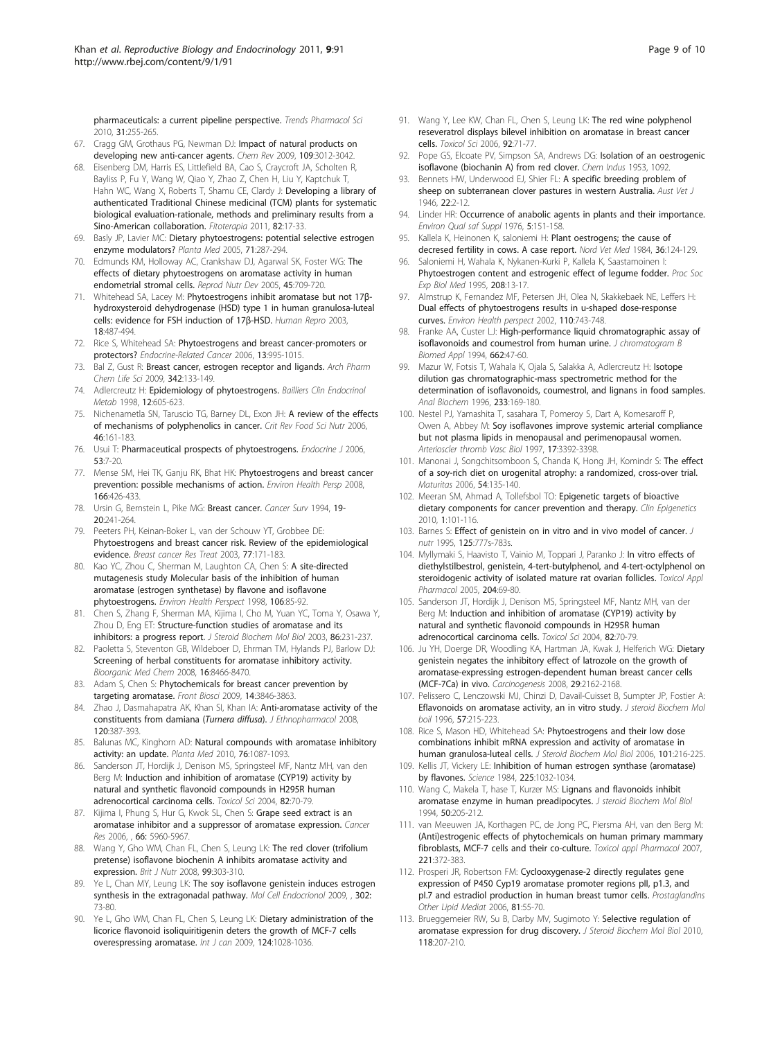<span id="page-8-0"></span>[pharmaceuticals: a current pipeline perspective.](http://www.ncbi.nlm.nih.gov/pubmed/20363514?dopt=Abstract) Trends Pharmacol Sci 2010, 31:255-265.

- 67. Cragg GM, Grothaus PG, Newman DJ: [Impact of natural products on](http://www.ncbi.nlm.nih.gov/pubmed/19422222?dopt=Abstract) [developing new anti-cancer agents.](http://www.ncbi.nlm.nih.gov/pubmed/19422222?dopt=Abstract) Chem Rev 2009, 109:3012-3042.
- 68. Eisenberg DM, Harris ES, Littlefield BA, Cao S, Craycroft JA, Scholten R, Bayliss P, Fu Y, Wang W, Qiao Y, Zhao Z, Chen H, Liu Y, Kaptchuk T, Hahn WC, Wang X, Roberts T, Shamu CE, Clardy J: [Developing a library of](http://www.ncbi.nlm.nih.gov/pubmed/21108995?dopt=Abstract) [authenticated Traditional Chinese medicinal \(TCM\) plants for systematic](http://www.ncbi.nlm.nih.gov/pubmed/21108995?dopt=Abstract) [biological evaluation-rationale, methods and preliminary results from a](http://www.ncbi.nlm.nih.gov/pubmed/21108995?dopt=Abstract) [Sino-American collaboration.](http://www.ncbi.nlm.nih.gov/pubmed/21108995?dopt=Abstract) Fitoterapia 2011, 82:17-33.
- 69. Basly JP, Lavier MC: [Dietary phytoestrogens: potential selective estrogen](http://www.ncbi.nlm.nih.gov/pubmed/15856402?dopt=Abstract) [enzyme modulators?](http://www.ncbi.nlm.nih.gov/pubmed/15856402?dopt=Abstract) Planta Med 2005, 71:287-294.
- 70. Edmunds KM, Holloway AC, Crankshaw DJ, Agarwal SK, Foster WG: [The](http://www.ncbi.nlm.nih.gov/pubmed/16285913?dopt=Abstract) [effects of dietary phytoestrogens on aromatase activity in human](http://www.ncbi.nlm.nih.gov/pubmed/16285913?dopt=Abstract) [endometrial stromal cells.](http://www.ncbi.nlm.nih.gov/pubmed/16285913?dopt=Abstract) Reprod Nutr Dev 2005, 45:709-720.
- 71. Whitehead SA, Lacey M: Phytoestrogens inhibit aromatase but not 17βhydroxysteroid dehydrogenase (HSD) type 1 in human granulosa-luteal cells: evidence for FSH induction of 17β-HSD. Human Repro 2003, 18:487-494.
- 72. Rice S, Whitehead SA: [Phytoestrogens and breast cancer-promoters or](http://www.ncbi.nlm.nih.gov/pubmed/17158751?dopt=Abstract) [protectors?](http://www.ncbi.nlm.nih.gov/pubmed/17158751?dopt=Abstract) Endocrine-Related Cancer 2006, 13:995-1015.
- 73. Bal Z, Gust R: Breast cancer, estrogen receptor and ligands. Arch Pharm Chem Life Sci 2009, 342:133-149.
- 74. Adlercreutz H: Epidemiology of phytoestrogens. Bailliers Clin Endocrinol Metab 1998, 12:605-623.
- 75. Nichenametla SN, Taruscio TG, Barney DL, Exon JH: [A review of the effects](http://www.ncbi.nlm.nih.gov/pubmed/16431408?dopt=Abstract) [of mechanisms of polyphenolics in cancer.](http://www.ncbi.nlm.nih.gov/pubmed/16431408?dopt=Abstract) Crit Rev Food Sci Nutr 2006, 46:161-183.
- 76. Usui T: Pharmaceutical prospects of phytoestrogens. Endocrine J 2006, 53:7-20.
- 77. Mense SM, Hei TK, Ganju RK, Bhat HK: Phytoestrogens and breast cancer prevention: possible mechanisms of action. Environ Health Persp 2008, 166:426-433.
- 78. Ursin G, Bernstein L, Pike MG: [Breast cancer.](http://www.ncbi.nlm.nih.gov/pubmed/7534629?dopt=Abstract) Cancer Surv 1994, 19-20:241-264.
- 79. Peeters PH, Keinan-Boker L, van der Schouw YT, Grobbee DE: [Phytoestrogens and breast cancer risk. Review of the epidemiological](http://www.ncbi.nlm.nih.gov/pubmed/12602916?dopt=Abstract) [evidence.](http://www.ncbi.nlm.nih.gov/pubmed/12602916?dopt=Abstract) Breast cancer Res Treat 2003, 77:171-183.
- 80. Kao YC, Zhou C, Sherman M, Laughton CA, Chen S: [A site-directed](http://www.ncbi.nlm.nih.gov/pubmed/9539008?dopt=Abstract) [mutagenesis study Molecular basis of the inhibition of human](http://www.ncbi.nlm.nih.gov/pubmed/9539008?dopt=Abstract) [aromatase \(estrogen synthetase\) by flavone and isoflavone](http://www.ncbi.nlm.nih.gov/pubmed/9539008?dopt=Abstract) [phytoestrogens.](http://www.ncbi.nlm.nih.gov/pubmed/9539008?dopt=Abstract) Environ Health Perspect 1998, 106:85-92.
- 81. Chen S, Zhang F, Sherman MA, Kijima I, Cho M, Yuan YC, Toma Y, Osawa Y, Zhou D, Eng ET: [Structure-function studies of aromatase and its](http://www.ncbi.nlm.nih.gov/pubmed/14623516?dopt=Abstract) [inhibitors: a progress report.](http://www.ncbi.nlm.nih.gov/pubmed/14623516?dopt=Abstract) J Steroid Biochem Mol Biol 2003, 86:231-237.
- 82. Paoletta S, Steventon GB, Wildeboer D, Ehrman TM, Hylands PJ, Barlow DJ: Screening of herbal constituents for aromatase inhibitory activity. Bioorganic Med Chem 2008, 16:8466-8470.
- 83. Adam S, Chen S: [Phytochemicals for breast cancer prevention by](http://www.ncbi.nlm.nih.gov/pubmed/19273315?dopt=Abstract) [targeting aromatase.](http://www.ncbi.nlm.nih.gov/pubmed/19273315?dopt=Abstract) Front Biosci 2009, 14:3846-3863.
- 84. Zhao J, Dasmahapatra AK, Khan SI, Khan IA: [Anti-aromatase activity of the](http://www.ncbi.nlm.nih.gov/pubmed/18948180?dopt=Abstract) [constituents from damiana \(](http://www.ncbi.nlm.nih.gov/pubmed/18948180?dopt=Abstract)Turnera diffusa). J Ethnopharmacol 2008, 120:387-393.
- 85. Balunas MC, Kinghorn AD: [Natural compounds with aromatase inhibitory](http://www.ncbi.nlm.nih.gov/pubmed/20635310?dopt=Abstract) [activity: an update.](http://www.ncbi.nlm.nih.gov/pubmed/20635310?dopt=Abstract) Planta Med 2010, 76:1087-1093.
- 86. Sanderson JT, Hordijk J, Denison MS, Springsteel MF, Nantz MH, van den Berg M: [Induction and inhibition of aromatase \(CYP19\) activity by](http://www.ncbi.nlm.nih.gov/pubmed/15319488?dopt=Abstract) [natural and synthetic flavonoid compounds in H295R human](http://www.ncbi.nlm.nih.gov/pubmed/15319488?dopt=Abstract) [adrenocortical carcinoma cells.](http://www.ncbi.nlm.nih.gov/pubmed/15319488?dopt=Abstract) Toxicol Sci 2004, 82:70-79.
- 87. Kijima I, Phung S, Hur G, Kwok SL, Chen S: Grape seed extract is an aromatase inhibitor and a suppressor of aromatase expression. Cancer Res 2006, , 66: 5960-5967.
- 88. Wang Y, Gho WM, Chan FL, Chen S, Leung LK: [The red clover \(trifolium](http://www.ncbi.nlm.nih.gov/pubmed/17761019?dopt=Abstract) [pretense\) isoflavone biochenin A inhibits aromatase activity and](http://www.ncbi.nlm.nih.gov/pubmed/17761019?dopt=Abstract) [expression.](http://www.ncbi.nlm.nih.gov/pubmed/17761019?dopt=Abstract) Brit J Nutr 2008, 99:303-310.
- 89. Ye L, Chan MY, Leung LK: The soy isoflavone genistein induces estrogen synthesis in the extragonadal pathway. Mol Cell Endocrionol 2009, , 302: 73-80.
- 90. Ye L, Gho WM, Chan FL, Chen S, Leung LK: Dietary administration of the licorice flavonoid isoliquiritigenin deters the growth of MCF-7 cells overespressing aromatase. Int J can 2009, 124:1028-1036.
- 91. Wang Y, Lee KW, Chan FL, Chen S, Leung LK: [The red wine polyphenol](http://www.ncbi.nlm.nih.gov/pubmed/16611627?dopt=Abstract) [reseveratrol displays bilevel inhibition on aromatase in breast cancer](http://www.ncbi.nlm.nih.gov/pubmed/16611627?dopt=Abstract) [cells.](http://www.ncbi.nlm.nih.gov/pubmed/16611627?dopt=Abstract) Toxicol Sci 2006, 92:71-77.
- 92. Pope GS, Elcoate PV, Simpson SA, Andrews DG: Isolation of an oestrogenic isoflavone (biochanin A) from red clover. Chem Indus 1953, 1092.
- 93. Bennets HW, Underwood EJ, Shier FL: [A specific breeding problem of](http://www.ncbi.nlm.nih.gov/pubmed/21028682?dopt=Abstract) [sheep on subterranean clover pastures in western Australia.](http://www.ncbi.nlm.nih.gov/pubmed/21028682?dopt=Abstract) Aust Vet J 1946, 22:2-12.
- 94. Linder HR: [Occurrence of anabolic agents in plants and their importance.](http://www.ncbi.nlm.nih.gov/pubmed/1066275?dopt=Abstract) Environ Qual saf Suppl 1976, 5:151-158.
- 95. Kallela K, Heinonen K, saloniemi H: [Plant oestrogens; the cause of](http://www.ncbi.nlm.nih.gov/pubmed/6739284?dopt=Abstract) [decresed fertility in cows. A case report.](http://www.ncbi.nlm.nih.gov/pubmed/6739284?dopt=Abstract) Nord Vet Med 1984, 36:124-129.
- 96. Saloniemi H, Wahala K, Nykanen-Kurki P, Kallela K, Saastamoinen I: [Phytoestrogen content and estrogenic effect of legume fodder.](http://www.ncbi.nlm.nih.gov/pubmed/7892287?dopt=Abstract) Proc Soc Exp Biol Med 1995, 208:13-17.
- 97. Almstrup K, Fernandez MF, Petersen JH, Olea N, Skakkebaek NE, Leffers H: [Dual effects of phytoestrogens results in u-shaped dose-response](http://www.ncbi.nlm.nih.gov/pubmed/12153753?dopt=Abstract) [curves.](http://www.ncbi.nlm.nih.gov/pubmed/12153753?dopt=Abstract) Environ Health perspect 2002, 110:743-748.
- Franke AA, Custer LJ: High-performance liquid chromatographic assay of isoflavonoids and coumestrol from human urine. J chromatogram B Biomed Appl 1994, 662:47-60.
- 99. Mazur W, Fotsis T, Wahala K, Ojala S, Salakka A, Adlercreutz H: [Isotope](http://www.ncbi.nlm.nih.gov/pubmed/8789715?dopt=Abstract) [dilution gas chromatographic-mass spectrometric method for the](http://www.ncbi.nlm.nih.gov/pubmed/8789715?dopt=Abstract) [determination of isoflavonoids, coumestrol, and lignans in food samples.](http://www.ncbi.nlm.nih.gov/pubmed/8789715?dopt=Abstract) Anal Biochem 1996, 233:169-180.
- 100. Nestel PJ, Yamashita T, sasahara T, Pomeroy S, Dart A, Komesaroff P, Owen A, Abbey M: [Soy isoflavones improve systemic arterial compliance](http://www.ncbi.nlm.nih.gov/pubmed/9437184?dopt=Abstract) [but not plasma lipids in menopausal and perimenopausal women.](http://www.ncbi.nlm.nih.gov/pubmed/9437184?dopt=Abstract) Arterioscler thromb Vasc Biol 1997, 17:3392-3398.
- 101. Manonai J, Songchitsomboon S, Chanda K, Hong JH, Komindr S: [The effect](http://www.ncbi.nlm.nih.gov/pubmed/16297576?dopt=Abstract) [of a soy-rich diet on urogenital atrophy: a randomized, cross-over trial.](http://www.ncbi.nlm.nih.gov/pubmed/16297576?dopt=Abstract) Maturitas 2006, 54:135-140.
- 102. Meeran SM, Ahmad A, Tollefsbol TO: [Epigenetic targets of bioactive](http://www.ncbi.nlm.nih.gov/pubmed/21258631?dopt=Abstract) [dietary components for cancer prevention and therapy.](http://www.ncbi.nlm.nih.gov/pubmed/21258631?dopt=Abstract) Clin Epigenetics 2010, 1:101-116.
- 103. Barnes S: [Effect of genistein on in vitro and in vivo model of cancer.](http://www.ncbi.nlm.nih.gov/pubmed/7884564?dopt=Abstract) J nutr 1995, 125:777s-783s.
- 104. Myllymaki S, Haavisto T, Vainio M, Toppari J, Paranko J: [In vitro effects of](http://www.ncbi.nlm.nih.gov/pubmed/15781295?dopt=Abstract) [diethylstilbestrol, genistein, 4-tert-butylphenol, and 4-tert-octylphenol on](http://www.ncbi.nlm.nih.gov/pubmed/15781295?dopt=Abstract) [steroidogenic activity of isolated mature rat ovarian follicles.](http://www.ncbi.nlm.nih.gov/pubmed/15781295?dopt=Abstract) Toxicol Appl Pharmacol 2005, 204:69-80.
- 105. Sanderson JT, Hordijk J, Denison MS, Springsteel MF, Nantz MH, van der Berg M: [Induction and inhibition of aromatase \(CYP19\) activity by](http://www.ncbi.nlm.nih.gov/pubmed/15319488?dopt=Abstract) [natural and synthetic flavonoid compounds in H295R human](http://www.ncbi.nlm.nih.gov/pubmed/15319488?dopt=Abstract) [adrenocortical carcinoma cells.](http://www.ncbi.nlm.nih.gov/pubmed/15319488?dopt=Abstract) Toxicol Sci 2004, 82:70-79.
- 106. Ju YH, Doerge DR, Woodling KA, Hartman JA, Kwak J, Helferich WG: [Dietary](http://www.ncbi.nlm.nih.gov/pubmed/18632754?dopt=Abstract) [genistein negates the inhibitory effect of latrozole on the growth of](http://www.ncbi.nlm.nih.gov/pubmed/18632754?dopt=Abstract) [aromatase-expressing estrogen-dependent human breast cancer cells](http://www.ncbi.nlm.nih.gov/pubmed/18632754?dopt=Abstract) [\(MCF-7Ca\) in vivo.](http://www.ncbi.nlm.nih.gov/pubmed/18632754?dopt=Abstract) Carcinogenesis 2008, 29:2162-2168.
- 107. Pelissero C, Lenczowski MJ, Chinzi D, Davail-Cuisset B, Sumpter JP, Fostier A: Eflavonoids on aromatase activity, an in vitro study. J steroid Biochem Mol boil 1996, 57:215-223.
- 108. Rice S, Mason HD, Whitehead SA: [Phytoestrogens and their low dose](http://www.ncbi.nlm.nih.gov/pubmed/16965912?dopt=Abstract) [combinations inhibit mRNA expression and activity of aromatase in](http://www.ncbi.nlm.nih.gov/pubmed/16965912?dopt=Abstract) [human granulosa-luteal cells.](http://www.ncbi.nlm.nih.gov/pubmed/16965912?dopt=Abstract) J Steroid Biochem Mol Biol 2006, 101:216-225.
- 109. Kellis JT, Vickery LE: [Inhibition of human estrogen synthase \(aromatase\)](http://www.ncbi.nlm.nih.gov/pubmed/6474163?dopt=Abstract) [by flavones.](http://www.ncbi.nlm.nih.gov/pubmed/6474163?dopt=Abstract) Science 1984, 225:1032-1034.
- 110. Wang C, Makela T, hase T, Kurzer MS: [Lignans and flavonoids inhibit](http://www.ncbi.nlm.nih.gov/pubmed/8049151?dopt=Abstract) [aromatase enzyme in human preadipocytes.](http://www.ncbi.nlm.nih.gov/pubmed/8049151?dopt=Abstract) J steroid Biochem Mol Biol 1994, 50:205-212.
- 111. van Meeuwen JA, Korthagen PC, de Jong PC, Piersma AH, van den Berg M: [\(Anti\)estrogenic effects of phytochemicals on human primary mammary](http://www.ncbi.nlm.nih.gov/pubmed/17482226?dopt=Abstract) [fibroblasts, MCF-7 cells and their co-culture.](http://www.ncbi.nlm.nih.gov/pubmed/17482226?dopt=Abstract) Toxicol appl Pharmacol 2007, 221:372-383.
- 112. Prosperi JR, Robertson FM: [Cyclooxygenase-2 directly regulates gene](http://www.ncbi.nlm.nih.gov/pubmed/16997132?dopt=Abstract) [expression of P450 Cyp19 aromatase promoter regions pII, p1.3, and](http://www.ncbi.nlm.nih.gov/pubmed/16997132?dopt=Abstract) pl.7 and estradiol production in human breast tumor cells. Prostaglandins Other Lipid Mediat 2006, 81:55-70.
- 113. Brueggemeier RW, Su B, Darby MV, Sugimoto Y: [Selective regulation of](http://www.ncbi.nlm.nih.gov/pubmed/19931613?dopt=Abstract) [aromatase expression for drug discovery.](http://www.ncbi.nlm.nih.gov/pubmed/19931613?dopt=Abstract) J Steroid Biochem Mol Biol 2010, 118:207-210.